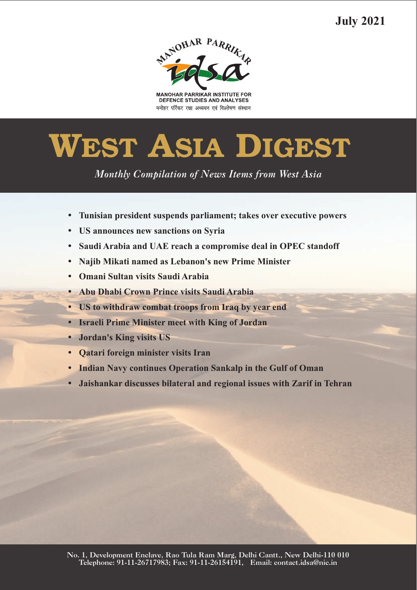**July 2021**



**MANOHAR PARRIKAR INSTITUTE FOR** DEFENCE STUDIES AND ANALYSES मनोहर पर्रिकर रक्षा अध्ययन एवं विश्लेषण संस्थान

# **WEST ASIA DIGEST**

*Monthly Compilation of News Items from West Asia* 

- ??**Tunisian president suspends parliament; takes over executive powers**
- ?**US announces new sanctions on Syria**
- ?**Saudi Arabia and UAE reach a compromise deal in OPEC standoff**
- ?**Najib Mikati named as Lebanon's new Prime Minister**
- 
- **Abu Dhabi Crown Prince visits Saudi Arabia**
- ?**Abu Dhabi Crown Prince visits Saudi Arabia**
- ?**US to withdraw combat troops from Iraq by year end** ?**Israeli Prime Minister meet with King of Jordan**
- 
- **Qatari foreign minister visits Iran**
- **Indian Navy continues Operation Sankalp in the Gulf of Oman**
- ?**Indian Navy continues Operation Sankalp in the Gulf of Oman Jaishankar discusses bilateral and regional issues with Zarif in Tehran**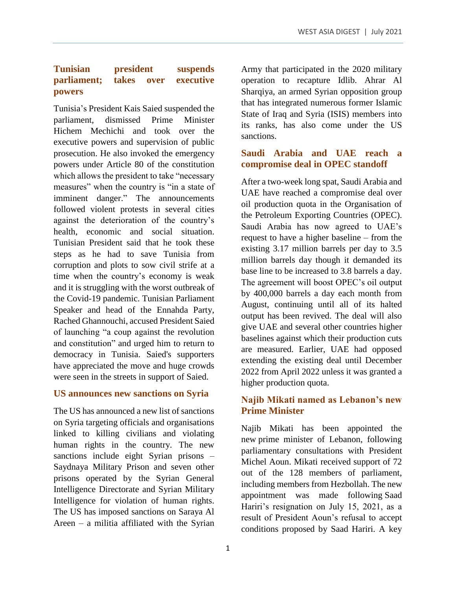# **Tunisian president suspends parliament; takes over executive powers**

Tunisia's President Kais Saied suspended the parliament, dismissed Prime Minister Hichem Mechichi and took over the executive powers and supervision of public prosecution. He also invoked the emergency powers under Article 80 of the constitution which allows the president to take "necessary measures" when the country is "in a state of imminent danger." The announcements followed violent protests in several cities against the deterioration of the country's health, economic and social situation. Tunisian President said that he took these steps as he had to save Tunisia from corruption and plots to sow civil strife at a time when the country's economy is weak and it is struggling with the worst outbreak of the Covid-19 pandemic. Tunisian Parliament Speaker and head of the Ennahda Party, Rached Ghannouchi, accused President Saied of launching "a coup against the revolution and constitution" and urged him to return to democracy in Tunisia. Saied's supporters have appreciated the move and huge crowds were seen in the streets in support of Saied.

#### **US announces new sanctions on Syria**

The US has announced a new list of sanctions on Syria targeting officials and organisations linked to killing civilians and violating human rights in the country. The new sanctions include eight Syrian prisons – Saydnaya Military Prison and seven other prisons operated by the Syrian General Intelligence Directorate and Syrian Military Intelligence for violation of human rights. The US has imposed sanctions on Saraya Al Areen – a militia affiliated with the Syrian

Army that participated in the 2020 military operation to recapture Idlib. Ahrar Al Sharqiya, an armed Syrian opposition group that has integrated numerous former Islamic State of Iraq and Syria (ISIS) members into its ranks, has also come under the US sanctions.

# **Saudi Arabia and UAE reach a compromise deal in OPEC standoff**

After a two-week long spat, Saudi Arabia and UAE have reached a compromise deal over oil production quota in the Organisation of the Petroleum Exporting Countries (OPEC). Saudi Arabia has now agreed to UAE's request to have a higher baseline – from the existing 3.17 million barrels per day to 3.5 million barrels day though it demanded its base line to be increased to 3.8 barrels a day. The agreement will boost OPEC's oil output by 400,000 barrels a day each month from August, continuing until all of its halted output has been revived. The deal will also give UAE and several other countries higher baselines against which their production cuts are measured. Earlier, UAE had opposed extending the existing deal until December 2022 from April 2022 unless it was granted a higher production quota.

# **Najib Mikati named as Lebanon's new Prime Minister**

Najib Mikati has been appointed the new prime minister of Lebanon, following parliamentary consultations with President Michel Aoun. Mikati received support of 72 out of the 128 members of parliament, including members from Hezbollah. The new appointment was made following Saad Hariri's resignation on July 15, 2021, as a result of President Aoun's refusal to accept conditions proposed by Saad Hariri. A key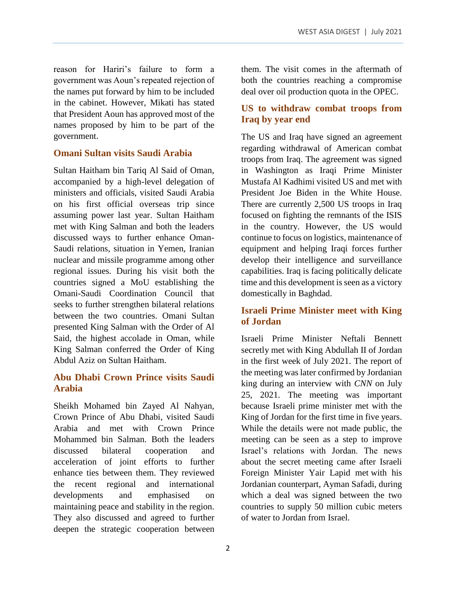reason for Hariri's failure to form a government was Aoun's repeated rejection of the names put forward by him to be included in the cabinet. However, Mikati has stated that President Aoun has approved most of the names proposed by him to be part of the government.

## **Omani Sultan visits Saudi Arabia**

Sultan Haitham bin Tariq Al Said of Oman, accompanied by a high-level delegation of ministers and officials, visited Saudi Arabia on his first official overseas trip since assuming power last year. Sultan Haitham met with King Salman and both the leaders discussed ways to further enhance Oman-Saudi relations, situation in Yemen, Iranian nuclear and missile programme among other regional issues. During his visit both the countries signed a MoU establishing the Omani-Saudi Coordination Council that seeks to further strengthen bilateral relations between the two countries. Omani Sultan presented King Salman with the Order of Al Said, the highest accolade in Oman, while King Salman conferred the Order of King Abdul Aziz on Sultan Haitham.

# **Abu Dhabi Crown Prince visits Saudi Arabia**

Sheikh Mohamed bin Zayed Al Nahyan, Crown Prince of Abu Dhabi, visited Saudi Arabia and met with Crown Prince Mohammed bin Salman. Both the leaders discussed bilateral cooperation and acceleration of joint efforts to further enhance ties between them. They reviewed the recent regional and international developments and emphasised on maintaining peace and stability in the region. They also discussed and agreed to further deepen the strategic cooperation between

them. The visit comes in the aftermath of both the countries reaching a compromise deal over oil production quota in the OPEC.

# **US to withdraw combat troops from Iraq by year end**

The US and Iraq have signed an agreement regarding withdrawal of American combat troops from Iraq. The agreement was signed in Washington as Iraqi Prime Minister Mustafa Al Kadhimi visited US and met with President Joe Biden in the White House. There are currently 2,500 US troops in Iraq focused on fighting the remnants of the ISIS in the country. However, the US would continue to focus on logistics, maintenance of equipment and helping Iraqi forces further develop their intelligence and surveillance capabilities. Iraq is facing politically delicate time and this development is seen as a victory domestically in Baghdad.

# **Israeli Prime Minister meet with King of Jordan**

Israeli Prime Minister Neftali Bennett secretly met with King Abdullah II of Jordan in the first week of July 2021. The report of the meeting was later confirmed by Jordanian king during an interview with *CNN* on July 25, 2021. The meeting was important because Israeli prime minister met with the King of Jordan for the first time in five years. While the details were not made public, the meeting can be seen as a step to improve Israel's relations with Jordan. The news about the secret meeting came after Israeli Foreign Minister Yair Lapid met with his Jordanian counterpart, Ayman Safadi, during which a deal was signed between the two countries to supply 50 million cubic meters of water to Jordan from Israel.